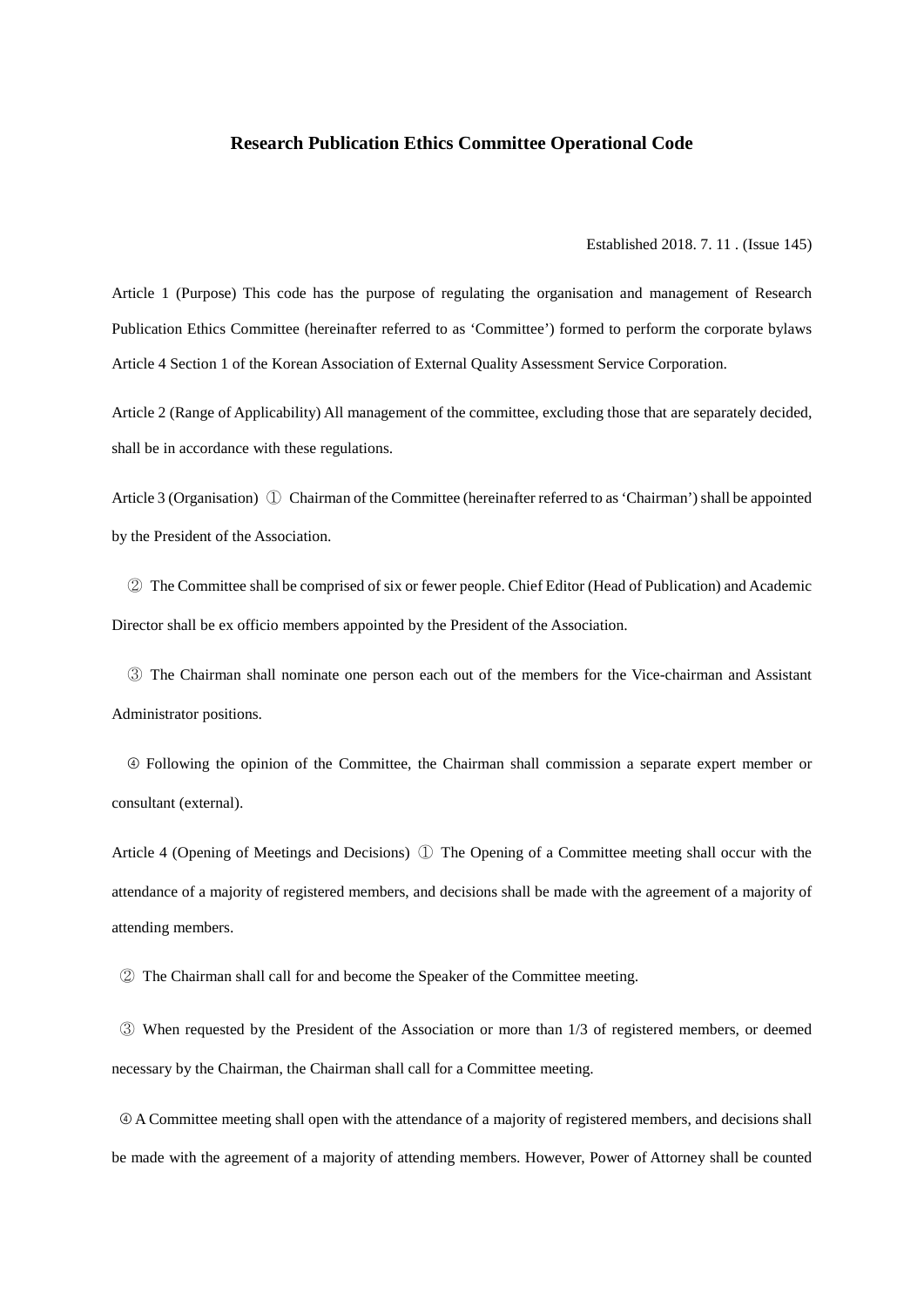## **Research Publication Ethics Committee Operational Code**

Established 2018. 7. 11 . (Issue 145)

Article 1 (Purpose) This code has the purpose of regulating the organisation and management of Research Publication Ethics Committee (hereinafter referred to as 'Committee') formed to perform the corporate bylaws Article 4 Section 1 of the Korean Association of External Quality Assessment Service Corporation.

Article 2 (Range of Applicability) All management of the committee, excluding those that are separately decided, shall be in accordance with these regulations.

Article 3 (Organisation) ① Chairman of the Committee (hereinafter referred to as 'Chairman') shall be appointed by the President of the Association.

 ② The Committee shall be comprised of six or fewer people. Chief Editor (Head of Publication) and Academic Director shall be ex officio members appointed by the President of the Association.

 ③ The Chairman shall nominate one person each out of the members for the Vice-chairman and Assistant Administrator positions.

 ➃ Following the opinion of the Committee, the Chairman shall commission a separate expert member or consultant (external).

Article 4 (Opening of Meetings and Decisions) ① The Opening of a Committee meeting shall occur with the attendance of a majority of registered members, and decisions shall be made with the agreement of a majority of attending members.

② The Chairman shall call for and become the Speaker of the Committee meeting.

③ When requested by the President of the Association or more than 1/3 of registered members, or deemed necessary by the Chairman, the Chairman shall call for a Committee meeting.

➃ A Committee meeting shall open with the attendance of a majority of registered members, and decisions shall be made with the agreement of a majority of attending members. However, Power of Attorney shall be counted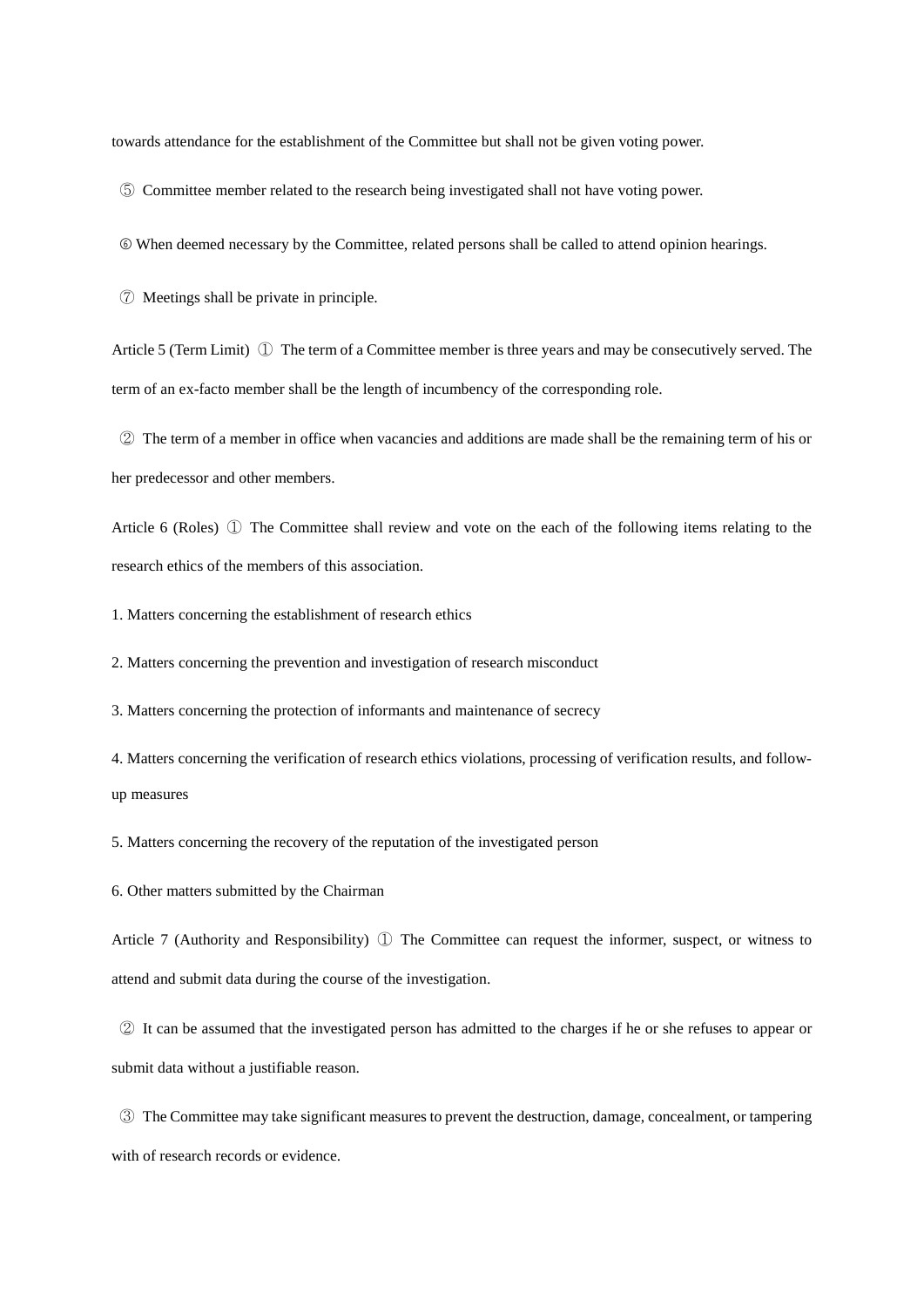towards attendance for the establishment of the Committee but shall not be given voting power.

⑤ Committee member related to the research being investigated shall not have voting power.

➅ When deemed necessary by the Committee, related persons shall be called to attend opinion hearings.

⑦ Meetings shall be private in principle.

Article 5 (Term Limit) ① The term of a Committee member is three years and may be consecutively served. The term of an ex-facto member shall be the length of incumbency of the corresponding role.

② The term of a member in office when vacancies and additions are made shall be the remaining term of his or her predecessor and other members.

Article 6 (Roles) ① The Committee shall review and vote on the each of the following items relating to the research ethics of the members of this association.

1. Matters concerning the establishment of research ethics

2. Matters concerning the prevention and investigation of research misconduct

3. Matters concerning the protection of informants and maintenance of secrecy

4. Matters concerning the verification of research ethics violations, processing of verification results, and followup measures

5. Matters concerning the recovery of the reputation of the investigated person

6. Other matters submitted by the Chairman

Article 7 (Authority and Responsibility) ① The Committee can request the informer, suspect, or witness to attend and submit data during the course of the investigation.

② It can be assumed that the investigated person has admitted to the charges if he or she refuses to appear or submit data without a justifiable reason.

③ The Committee may take significant measures to prevent the destruction, damage, concealment, or tampering with of research records or evidence.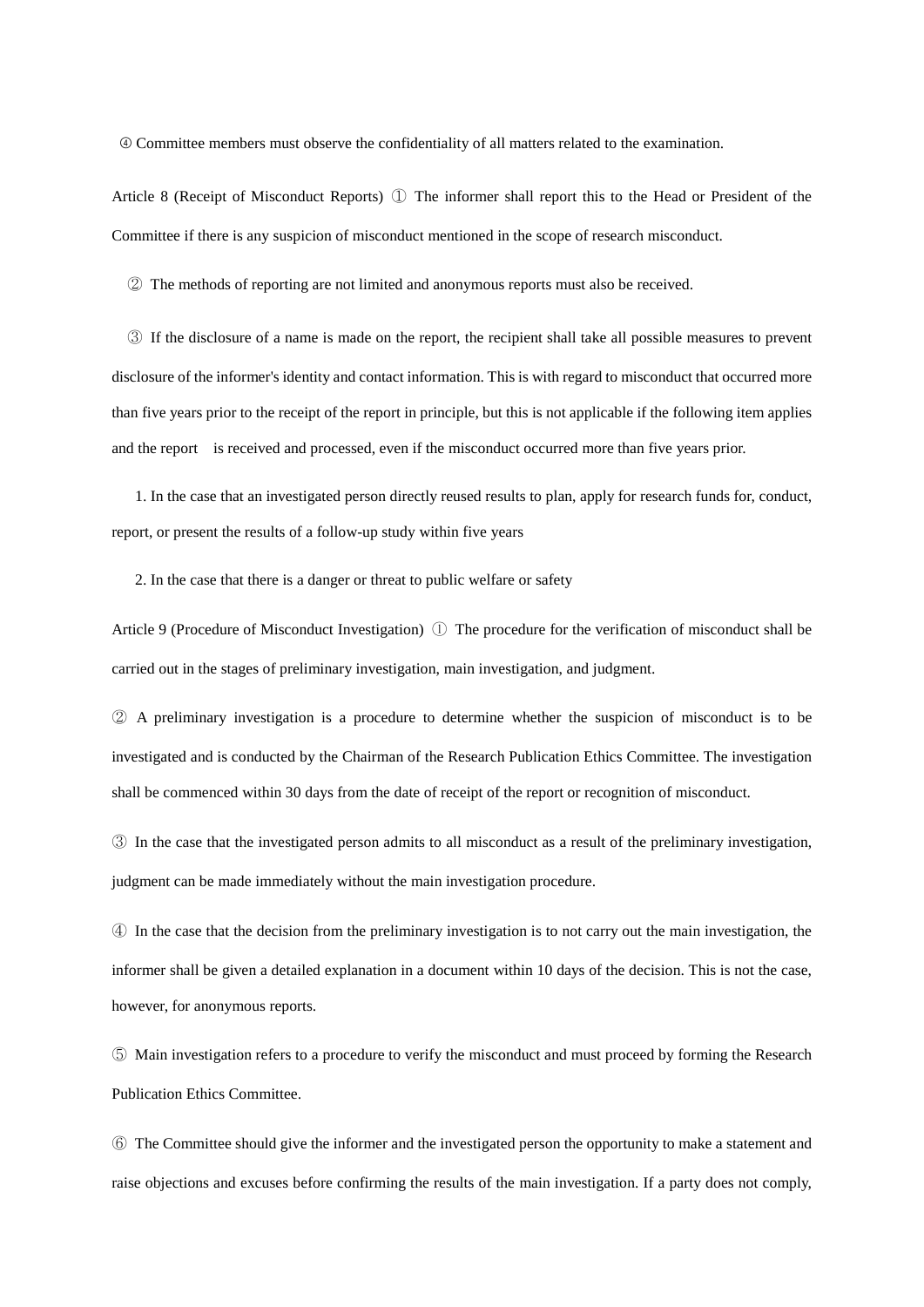➃ Committee members must observe the confidentiality of all matters related to the examination.

Article 8 (Receipt of Misconduct Reports) ① The informer shall report this to the Head or President of the Committee if there is any suspicion of misconduct mentioned in the scope of research misconduct.

② The methods of reporting are not limited and anonymous reports must also be received.

 ③ If the disclosure of a name is made on the report, the recipient shall take all possible measures to prevent disclosure of the informer's identity and contact information. This is with regard to misconduct that occurred more than five years prior to the receipt of the report in principle, but this is not applicable if the following item applies and the report is received and processed, even if the misconduct occurred more than five years prior.

 1. In the case that an investigated person directly reused results to plan, apply for research funds for, conduct, report, or present the results of a follow-up study within five years

2. In the case that there is a danger or threat to public welfare or safety

Article 9 (Procedure of Misconduct Investigation) ① The procedure for the verification of misconduct shall be carried out in the stages of preliminary investigation, main investigation, and judgment.

② A preliminary investigation is a procedure to determine whether the suspicion of misconduct is to be investigated and is conducted by the Chairman of the Research Publication Ethics Committee. The investigation shall be commenced within 30 days from the date of receipt of the report or recognition of misconduct.

③ In the case that the investigated person admits to all misconduct as a result of the preliminary investigation, judgment can be made immediately without the main investigation procedure.

④ In the case that the decision from the preliminary investigation is to not carry out the main investigation, the informer shall be given a detailed explanation in a document within 10 days of the decision. This is not the case, however, for anonymous reports.

⑤ Main investigation refers to a procedure to verify the misconduct and must proceed by forming the Research Publication Ethics Committee.

⑥ The Committee should give the informer and the investigated person the opportunity to make a statement and raise objections and excuses before confirming the results of the main investigation. If a party does not comply,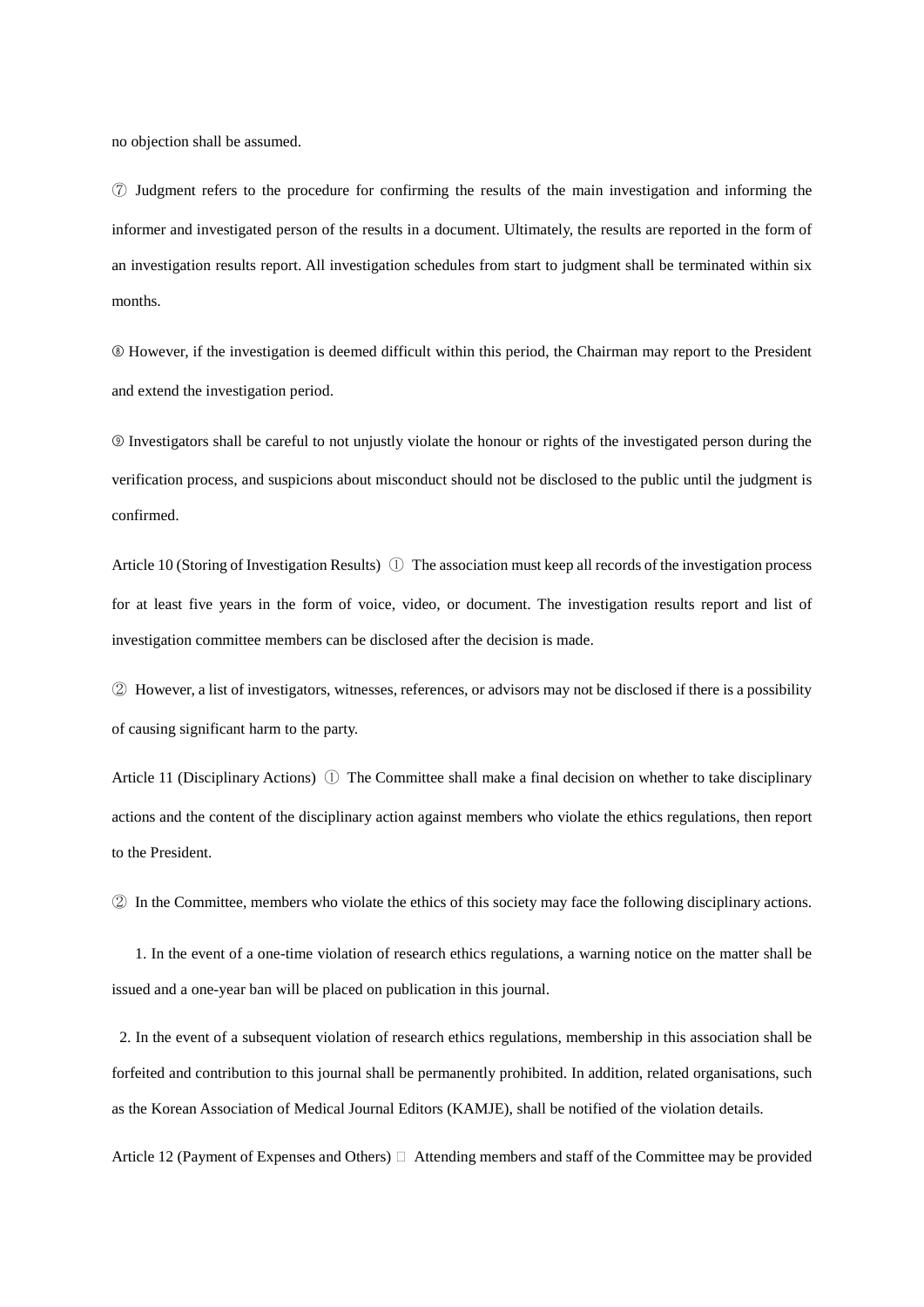no objection shall be assumed.

⑦ Judgment refers to the procedure for confirming the results of the main investigation and informing the informer and investigated person of the results in a document. Ultimately, the results are reported in the form of an investigation results report. All investigation schedules from start to judgment shall be terminated within six months.

➇ However, if the investigation is deemed difficult within this period, the Chairman may report to the President and extend the investigation period.

➈ Investigators shall be careful to not unjustly violate the honour or rights of the investigated person during the verification process, and suspicions about misconduct should not be disclosed to the public until the judgment is confirmed.

Article 10 (Storing of Investigation Results)  $\mathbb D$  The association must keep all records of the investigation process for at least five years in the form of voice, video, or document. The investigation results report and list of investigation committee members can be disclosed after the decision is made.

② However, a list of investigators, witnesses, references, or advisors may not be disclosed if there is a possibility of causing significant harm to the party.

Article 11 (Disciplinary Actions)  $\mathbb{O}$  The Committee shall make a final decision on whether to take disciplinary actions and the content of the disciplinary action against members who violate the ethics regulations, then report to the President.

② In the Committee, members who violate the ethics of this society may face the following disciplinary actions.

 1. In the event of a one-time violation of research ethics regulations, a warning notice on the matter shall be issued and a one-year ban will be placed on publication in this journal.

2. In the event of a subsequent violation of research ethics regulations, membership in this association shall be forfeited and contribution to this journal shall be permanently prohibited. In addition, related organisations, such as the Korean Association of Medical Journal Editors (KAMJE), shall be notified of the violation details.

Article 12 (Payment of Expenses and Others)  $\Box$  Attending members and staff of the Committee may be provided